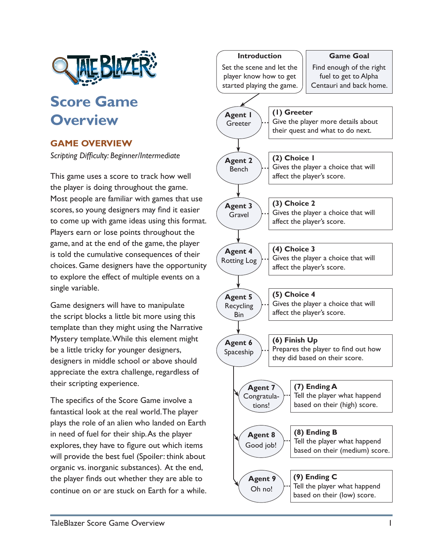

## **Score Game Overview**

## **GAME OVERVIEW**

*Scripting Difficulty: Beginner/Intermediate*

This game uses a score to track how well the player is doing throughout the game. Most people are familiar with games that use scores, so young designers may find it easier to come up with game ideas using this format. Players earn or lose points throughout the game, and at the end of the game, the player is told the cumulative consequences of their choices. Game designers have the opportunity to explore the effect of multiple events on a single variable.

Game designers will have to manipulate the script blocks a little bit more using this template than they might using the Narrative Mystery template. While this element might be a little tricky for younger designers, designers in middle school or above should appreciate the extra challenge, regardless of their scripting experience.

The specifics of the Score Game involve a fantastical look at the real world. The player plays the role of an alien who landed on Earth in need of fuel for their ship. As the player explores, they have to figure out which items will provide the best fuel (Spoiler: think about organic vs. inorganic substances). At the end, the player finds out whether they are able to continue on or are stuck on Earth for a while.